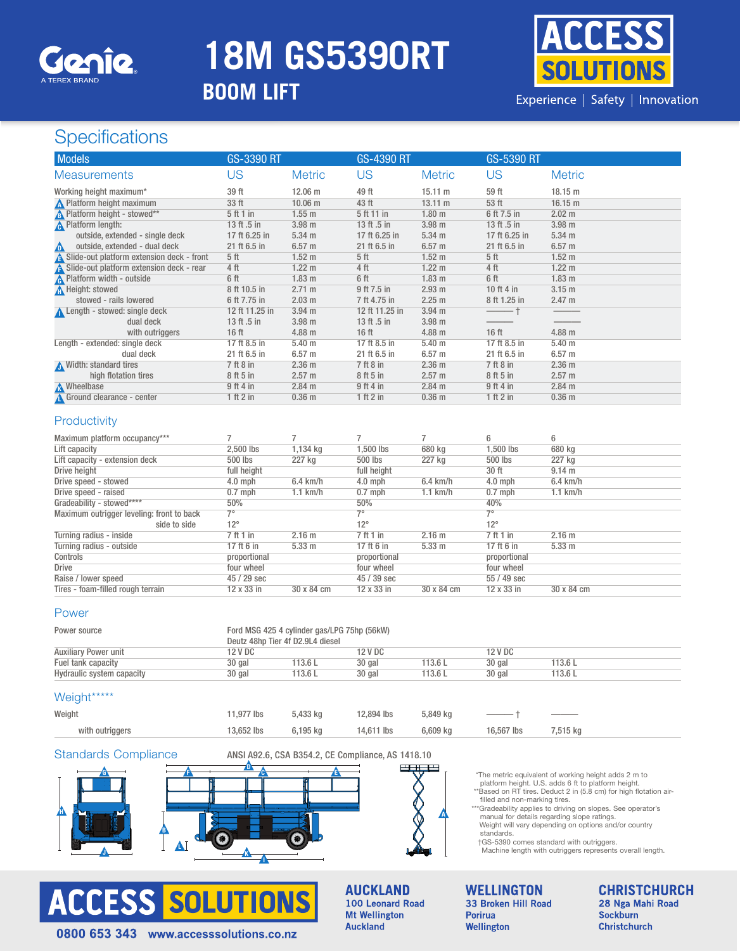

# **18M GS5390RT**

### **BOOM LIFT**



Experience | Safety | Innovation

### **Specifications**

| <b>Models</b>                             | <b>GS-3390 RT</b> |                   | <b>GS-4390 RT</b> |                   | <b>GS-5390 RT</b> |                   |
|-------------------------------------------|-------------------|-------------------|-------------------|-------------------|-------------------|-------------------|
| <b>Measurements</b>                       | US                | <b>Metric</b>     | US                | <b>Metric</b>     | US                | <b>Metric</b>     |
| Working height maximum*                   | 39 ft             | $12.06 \text{ m}$ | 49 ft             | $15.11 \text{ m}$ | 59 ft             | $18.15 \text{ m}$ |
| <b>A</b> Platform height maximum          | 33 ft             | $10.06 \; m$      | 43 ft             | $13.11 \text{ m}$ | 53 ft             | 16.15 m           |
| <b>A</b> Platform height - stowed**       | 5 ft 1 in         | $1.55$ m          | 5 ft 11 in        | 1.80 <sub>m</sub> | 6 ft 7.5 in       | 2.02 m            |
| <b>A</b> Platform length:                 | 13 ft .5 in       | 3.98 <sub>m</sub> | 13 ft .5 in       | 3.98 <sub>m</sub> | 13 ft .5 in       | $3.98$ m          |
| outside, extended - single deck           | 17 ft 6.25 in     | $5.34 \text{ m}$  | 17 ft 6.25 in     | $5.34$ m          | 17 ft 6.25 in     | $5.34 \text{ m}$  |
| outside, extended - dual deck<br>⚠        | 21 ft 6.5 in      | 6.57 <sub>m</sub> | 21 ft 6.5 in      | 6.57 <sub>m</sub> | 21 ft 6.5 in      | 6.57 <sub>m</sub> |
| Slide-out platform extension deck - front | 5 <sup>th</sup>   | 1.52 m            | 5 <sup>th</sup>   | 1.52 <sub>m</sub> | 5 <sup>th</sup>   | 1.52 <sub>m</sub> |
| Slide-out platform extension deck - rear  | 4 ft              | $1.22 \text{ m}$  | 4 ft              | $1.22 \text{ m}$  | 4 ft              | $1.22 \text{ m}$  |
| <b>A</b> Platform width - outside         | 6 ft              | 1.83 <sub>m</sub> | 6 ft              | 1.83 <sub>m</sub> | 6 ft              | 1.83 <sub>m</sub> |
| A Height: stowed                          | 8 ft 10.5 in      | $2.71 \text{ m}$  | 9 ft 7.5 in       | $2.93$ m          | 10 ft 4 in        | $3.15 \text{ m}$  |
| stowed - rails lowered                    | 6 ft 7.75 in      | 2.03 m            | 7 ft 4.75 in      | 2.25 m            | 8 ft 1.25 in      | 2.47 m            |
| Length - stowed: single deck              | 12 ft 11.25 in    | 3.94 <sub>m</sub> | 12 ft 11.25 in    | $3.94$ m          |                   |                   |
| dual deck                                 | 13 ft .5 in       | 3.98 <sub>m</sub> | 13 ft .5 in       | 3.98 <sub>m</sub> |                   |                   |
| with outriggers                           | 16 <sub>ft</sub>  | 4.88 <sub>m</sub> | 16 <sub>ft</sub>  | 4.88 m            | 16 <sub>ft</sub>  | $4.88$ m          |
| Length - extended: single deck            | 17 ft 8.5 in      | 5.40 m            | 17 ft 8.5 in      | 5.40 <sub>m</sub> | 17 ft 8.5 in      | $5.40 \;{\rm m}$  |
| dual deck                                 | 21 ft 6.5 in      | 6.57 <sub>m</sub> | 21 ft 6.5 in      | 6.57 <sub>m</sub> | 21 ft 6.5 in      | 6.57 <sub>m</sub> |
| Width: standard tires                     | 7 ft 8 in         | 2.36 <sub>m</sub> | $7$ ft $8$ in     | 2.36 <sub>m</sub> | 7 ft 8 in         | 2.36 <sub>m</sub> |
| high flotation tires                      | 8 ft 5 in         | $2.57 \text{ m}$  | 8 ft 5 in         | 2.57 m            | 8 ft 5 in         | $2.57 \text{ m}$  |
| <b>A</b> Wheelbase                        | $9$ ft 4 in       | 2.84 m            | $9$ ft 4 in       | $2.84$ m          | 9 ft 4 in         | 2.84 m            |
| Ground clearance - center                 | $1$ ft $2$ in     | 0.36 <sub>m</sub> | 1 ft 2 in         | 0.36 <sub>m</sub> | 1 ft 2 in         | 0.36 <sub>m</sub> |

#### **Productivity**

| Maximum platform occupancy***             |              |                   |              |                    | 6            | 6                 |
|-------------------------------------------|--------------|-------------------|--------------|--------------------|--------------|-------------------|
| Lift capacity                             | 2.500 lbs    | 1,134 kg          | 1.500 lbs    | 680 kg             | 1.500 lbs    | 680 kg            |
| Lift capacity - extension deck            | 500 lbs      | 227 kg            | 500 lbs      | 227 kg             | 500 lbs      | 227 kg            |
| Drive height                              | full height  |                   | full height  |                    | 30 ft        | 9.14 m            |
| Drive speed - stowed                      | $4.0$ mph    | $6.4$ km/h        | $4.0$ mph    | $6.4 \text{ km/h}$ | $4.0$ mph    | $6.4$ km/h        |
| Drive speed - raised                      | $0.7$ mph    | $1.1$ km/h        | $0.7$ mph    | $1.1$ km/h         | $0.7$ mph    | $1.1$ km/h        |
| Gradeability - stowed****                 | 50%          |                   | 50%          |                    | 40%          |                   |
| Maximum outrigger leveling: front to back | $7^\circ$    |                   | 70           |                    | 7°           |                   |
| side to side                              | $12^{\circ}$ |                   | $12^{\circ}$ |                    | $12^{\circ}$ |                   |
| Turning radius - inside                   | 7 ft 1 in    | 2.16 <sub>m</sub> | 7 ft 1 in    | 2.16 m             | 7 ft 1 in    | 2.16 m            |
| Turning radius - outside                  | 17 ft 6 in   | 5.33 <sub>m</sub> | 17 ft 6 in   | 5.33 m             | 17 ft 6 in   | 5.33 <sub>m</sub> |
| Controls                                  | proportional |                   | proportional |                    | proportional |                   |
| Drive                                     | four wheel   |                   | four wheel   |                    | four wheel   |                   |
| Raise / lower speed                       | 45 / 29 sec  |                   | 45 / 39 sec  |                    | 55 / 49 sec  |                   |
| Tires - foam-filled rough terrain         | 12 x 33 in   | 30 x 84 cm        | 12 x 33 in   | 30 x 84 cm         | 12 x 33 in   | 30 x 84 cm        |

#### Power

| Power source                | Ford MSG 425 4 cylinder gas/LPG 75hp (56kW)<br>Deutz 48hp Tier 4f D2.9L4 diesel |         |         |         |         |         |  |  |  |
|-----------------------------|---------------------------------------------------------------------------------|---------|---------|---------|---------|---------|--|--|--|
| <b>Auxiliary Power unit</b> | 12 V DC                                                                         |         | 12 V DC |         | 12 V DC |         |  |  |  |
| Fuel tank capacity          | 30 gal                                                                          | 113.6 L | 30 gal  | 113.6L  | 30 gal  | 113.6 L |  |  |  |
| Hydraulic system capacity   | 30 gal                                                                          | 113.6L  | 30 gal  | 113.6 L | 30 gal  | 113.6 L |  |  |  |

#### Weight\*\*\*\*\*\*

| Weight          | 11.977 lbs | 5.433 ka | 12,894 lbs | 5.849 ka |            | $\overline{\phantom{a}}$ |  |
|-----------------|------------|----------|------------|----------|------------|--------------------------|--|
| with outriggers | 13.652 lbs | 6,195 kg | 14,611 lbs | 6,609 kg | 16,567 lbs | 7,515 kg                 |  |

#### Standards Compliance ANSI A92.6, CSA B354.2, CE Compliance, AS 1418.10







\*The metric equivalent of working height adds 2 m to platform height. U.S. adds 6 ft to platform height.

\*\*Based on RT tires. Deduct 2 in (5.8 cm) for high flotation air-filled and non-marking tires. \*\*\*Gradeability applies to driving on slopes. See operator's

manual for details regarding slope ratings. Weight will vary depending on options and/or country standards.

†GS-5390 comes standard with outriggers. Machine length with outriggers represents overall length.



**AUCKLAND** 100 Leonard Road **Mt Wellington Auckland** 

WELLINGTON<br>33 Broken Hill Road **Porirua** Wellington

**CHRISTCHURCH** 28 Nga Mahi Road Sockburn **Christchurch**